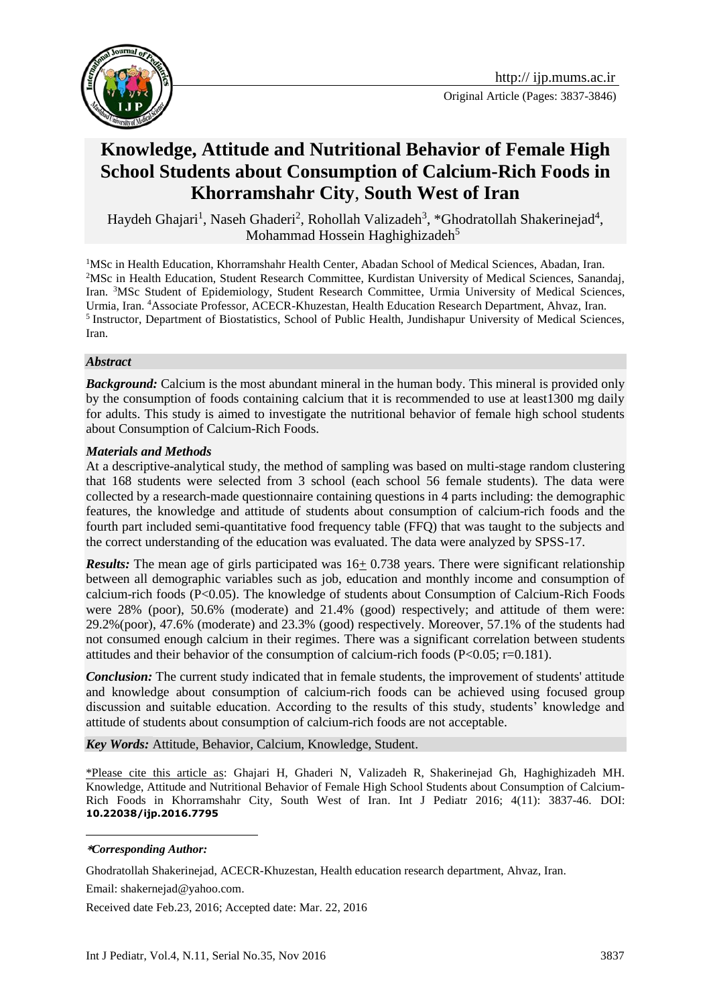

# **Knowledge, Attitude and Nutritional Behavior of Female High School Students about Consumption of Calcium-Rich Foods in Khorramshahr City**, **South West of Iran**

Haydeh Ghajari<sup>1</sup>, Naseh Ghaderi<sup>2</sup>, Rohollah Valizadeh<sup>3</sup>, \*Ghodratollah Shakerinejad<sup>4</sup>, Mohammad Hossein Haghighizadeh $5$ 

<sup>1</sup>MSc in Health Education, Khorramshahr Health Center, Abadan School of Medical Sciences, Abadan, Iran. <sup>2</sup>MSc in Health Education, Student Research Committee, Kurdistan University of Medical Sciences, Sanandaj, Iran. <sup>3</sup>MSc Student of Epidemiology, Student Research Committee, Urmia University of Medical Sciences, Urmia, Iran. <sup>4</sup>Associate Professor, ACECR-Khuzestan, Health Education Research Department, Ahvaz, Iran. <sup>5</sup> Instructor, Department of Biostatistics, School of Public Health, Jundishapur University of Medical Sciences, Iran.

#### *Abstract*

*Background:* Calcium is the most abundant mineral in the human body. This mineral is provided only by the consumption of foods containing calcium that it is recommended to use at least1300 mg daily for adults. This study is aimed to investigate the nutritional behavior of female high school students about Consumption of Calcium-Rich Foods.

#### *Materials and Methods*

At a descriptive-analytical study, the method of sampling was based on multi-stage random clustering that 168 students were selected from 3 school (each school 56 female students). The data were collected by a research-made questionnaire containing questions in 4 parts including: the demographic features, the knowledge and attitude of students about consumption of calcium-rich foods and the fourth part included semi-quantitative food frequency table (FFQ) that was taught to the subjects and the correct understanding of the education was evaluated. The data were analyzed by SPSS-17.

*Results:* The mean age of girls participated was  $16+0.738$  years. There were significant relationship between all demographic variables such as job, education and monthly income and consumption of calcium-rich foods (P<0.05). The knowledge of students about Consumption of Calcium-Rich Foods were 28% (poor), 50.6% (moderate) and 21.4% (good) respectively; and attitude of them were: 29.2%(poor), 47.6% (moderate) and 23.3% (good) respectively. Moreover, 57.1% of the students had not consumed enough calcium in their regimes. There was a significant correlation between students attitudes and their behavior of the consumption of calcium-rich foods (P<0.05; r=0.181).

*Conclusion:* The current study indicated that in female students, the improvement of students' attitude and knowledge about consumption of calcium-rich foods can be achieved using focused group discussion and suitable education. According to the results of this study, students' knowledge and attitude of students about consumption of calcium-rich foods are not acceptable.

*Key Words:* Attitude, Behavior, Calcium, Knowledge, Student.

\*Please cite this article as: Ghajari H, Ghaderi N, Valizadeh R, Shakerinejad Gh, Haghighizadeh MH. Knowledge, Attitude and Nutritional Behavior of Female High School Students about Consumption of Calcium-Rich Foods in Khorramshahr City, South West of Iran. Int J Pediatr 2016; 4(11): 3837-46. DOI: **10.22038/ijp.2016.7795**

#### 1 **\****Corresponding Author:*

Ghodratollah Shakerinejad, ACECR-Khuzestan, Health education research department, Ahvaz, Iran.

Email: [shakernejad@yahoo.com.](mailto:shakernejad@yahoo.com)

Received date Feb.23, 2016; Accepted date: Mar. 22, 2016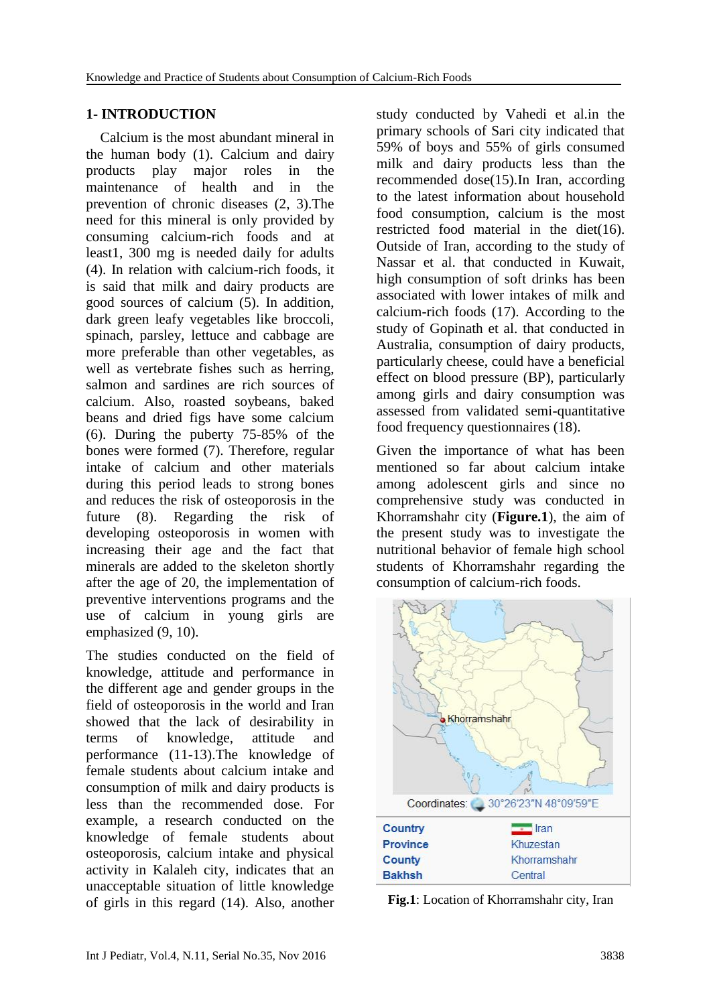#### **1- INTRODUCTION**

 Calcium is the most abundant mineral in the human body (1). Calcium and dairy products play major roles in the maintenance of health and in the prevention of chronic diseases (2, 3).The need for this mineral is only provided by consuming calcium-rich foods and at least1, 300 mg is needed daily for adults (4). In relation with calcium-rich foods, it is said that milk and dairy products are good sources of calcium (5). In addition, dark green leafy vegetables like broccoli, spinach, parsley, lettuce and cabbage are more preferable than other vegetables, as well as vertebrate fishes such as herring, salmon and sardines are rich sources of calcium. Also, roasted soybeans, baked beans and dried figs have some calcium (6). During the puberty 75-85% of the bones were formed (7). Therefore, regular intake of calcium and other materials during this period leads to strong bones and reduces the risk of osteoporosis in the future (8). Regarding the risk of developing osteoporosis in women with increasing their age and the fact that minerals are added to the skeleton shortly after the age of 20, the implementation of preventive interventions programs and the use of calcium in young girls are emphasized (9, 10).

The studies conducted on the field of knowledge, attitude and performance in the different age and gender groups in the field of osteoporosis in the world and Iran showed that the lack of desirability in terms of knowledge, attitude and performance (11-13).The knowledge of female students about calcium intake and consumption of milk and dairy products is less than the recommended dose. For example, a research conducted on the knowledge of female students about osteoporosis, calcium intake and physical activity in Kalaleh city, indicates that an unacceptable situation of little knowledge of girls in this regard (14). Also, another

study conducted by Vahedi et al.in the primary schools of Sari city indicated that 59% of boys and 55% of girls consumed milk and dairy products less than the recommended dose(15).In Iran, according to the latest information about household food consumption, calcium is the most restricted food material in the diet(16). Outside of Iran, according to the study of Nassar et al. that conducted in Kuwait, high consumption of soft drinks has been associated with lower intakes of milk and calcium-rich foods (17). According to the study of Gopinath et al. that conducted in Australia, consumption of dairy products, particularly cheese, could have a beneficial effect on blood pressure (BP), particularly among girls and dairy consumption was assessed from validated semi-quantitative food frequency questionnaires (18).

Given the importance of what has been mentioned so far about calcium intake among adolescent girls and since no comprehensive study was conducted in Khorramshahr city (**Figure.1**), the aim of the present study was to investigate the nutritional behavior of female high school students of Khorramshahr regarding the consumption of calcium-rich foods.



**Fig.1**: Location of Khorramshahr city, Iran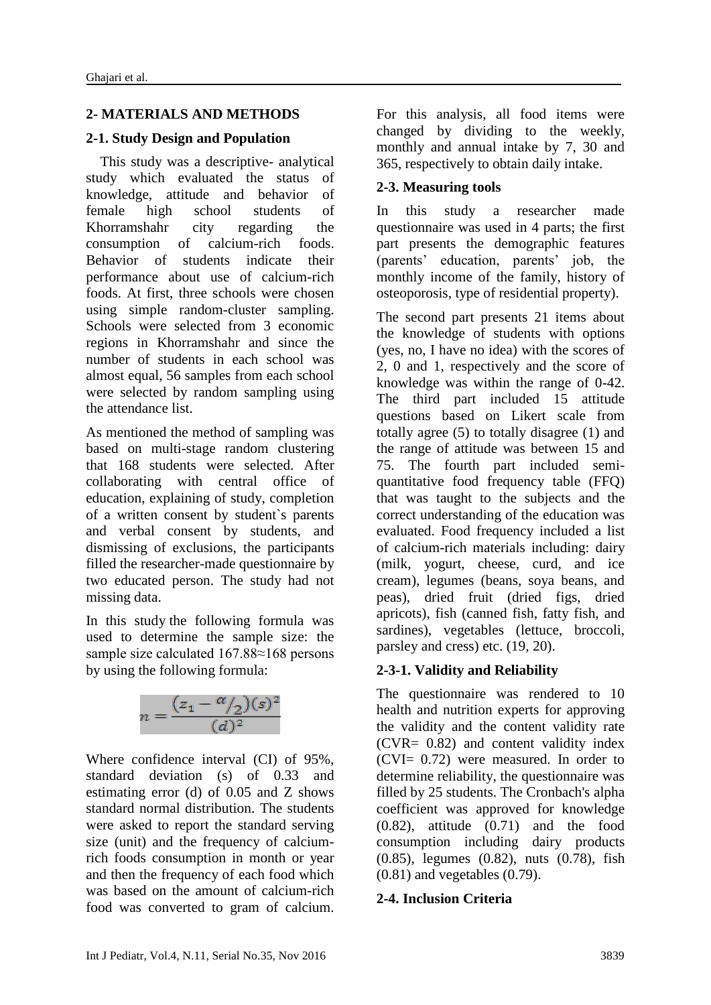#### **2- MATERIALS AND METHODS**

#### **2-1. Study Design and Population**

 This study was a descriptive- analytical study which evaluated the status of knowledge, attitude and behavior of female high school students of Khorramshahr city regarding the consumption of calcium-rich foods. Behavior of students indicate their performance about use of calcium-rich foods. At first, three schools were chosen using simple random-cluster sampling. Schools were selected from 3 economic regions in Khorramshahr and since the number of students in each school was almost equal, 56 samples from each school were selected by random sampling using the attendance list.

As mentioned the method of sampling was based on multi-stage random clustering that 168 students were selected. After collaborating with central office of education, explaining of study, completion of a written consent by student`s parents and verbal consent by students, and dismissing of exclusions, the participants filled the researcher-made questionnaire by two educated person. The study had not missing data.

In this study the following formula was used to determine the sample size: the sample size calculated 167.88≈168 persons by using the following formula:



Where confidence interval (CI) of 95%, standard deviation (s) of 0.33 and estimating error (d) of 0.05 and Z shows standard normal distribution. The students were asked to report the standard serving size (unit) and the frequency of calciumrich foods consumption in month or year and then the frequency of each food which was based on the amount of calcium-rich food was converted to gram of calcium.

For this analysis, all food items were changed by dividing to the weekly, monthly and annual intake by 7, 30 and 365, respectively to obtain daily intake.

#### **2-3. Measuring tools**

In this study a researcher made questionnaire was used in 4 parts; the first part presents the demographic features (parents' education, parents' job, the monthly income of the family, history of osteoporosis, type of residential property).

The second part presents 21 items about the knowledge of students with options (yes, no, I have no idea) with the scores of 2, 0 and 1, respectively and the score of knowledge was within the range of 0-42. The third part included 15 attitude questions based on Likert scale from totally agree (5) to totally disagree (1) and the range of attitude was between 15 and 75. The fourth part included semiquantitative food frequency table (FFQ) that was taught to the subjects and the correct understanding of the education was evaluated. Food frequency included a list of calcium-rich materials including: dairy (milk, yogurt, cheese, curd, and ice cream), legumes (beans, soya beans, and peas), dried fruit (dried figs, dried apricots), fish (canned fish, fatty fish, and sardines), vegetables (lettuce, broccoli, parsley and cress) etc. (19, 20).

#### **2-3-1. Validity and Reliability**

The questionnaire was rendered to 10 health and nutrition experts for approving the validity and the content validity rate (CVR= 0.82) and content validity index (CVI= 0.72) were measured. In order to determine reliability, the questionnaire was filled by 25 students. The Cronbach's alpha coefficient was approved for knowledge (0.82), attitude (0.71) and the food consumption including dairy products (0.85), legumes (0.82), nuts (0.78), fish (0.81) and vegetables (0.79).

#### **2-4. Inclusion Criteria**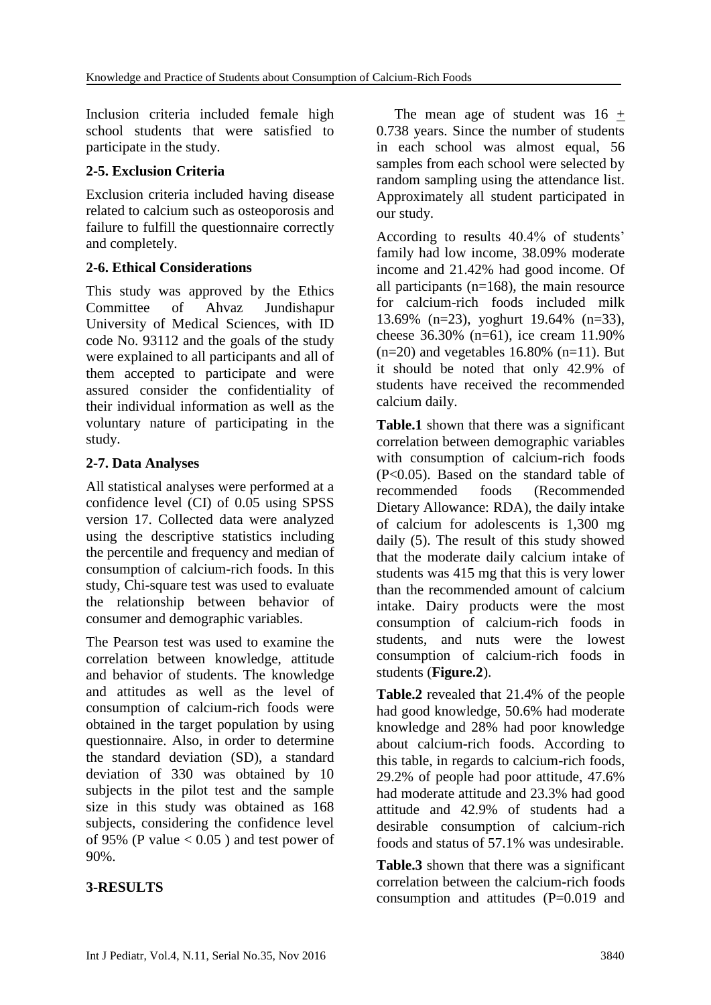Inclusion criteria included female high school students that were satisfied to participate in the study.

#### **2-5. Exclusion Criteria**

Exclusion criteria included having disease related to calcium such as osteoporosis and failure to fulfill the questionnaire correctly and completely.

#### **2-6. Ethical Considerations**

This study was approved by the Ethics Committee of Ahvaz Jundishapur University of Medical Sciences, with ID code No. 93112 and the goals of the study were explained to all participants and all of them accepted to participate and were assured consider the confidentiality of their individual information as well as the voluntary nature of participating in the study.

#### **2-7. Data Analyses**

All statistical analyses were performed at a confidence level (CI) of 0.05 using SPSS version 17. Collected data were analyzed using the descriptive statistics including the percentile and frequency and median of consumption of calcium-rich foods. In this study, Chi-square test was used to evaluate the relationship between behavior of consumer and demographic variables.

The Pearson test was used to examine the correlation between knowledge, attitude and behavior of students. The knowledge and attitudes as well as the level of consumption of calcium-rich foods were obtained in the target population by using questionnaire. Also, in order to determine the standard deviation (SD), a standard deviation of 330 was obtained by 10 subjects in the pilot test and the sample size in this study was obtained as 168 subjects, considering the confidence level of 95% (P value  $< 0.05$ ) and test power of 90%.

# **3-RESULTS**

The mean age of student was  $16 +$ 0.738 years. Since the number of students in each school was almost equal, 56 samples from each school were selected by random sampling using the attendance list. Approximately all student participated in our study.

According to results 40.4% of students' family had low income, 38.09% moderate income and 21.42% had good income. Of all participants  $(n=168)$ , the main resource for calcium-rich foods included milk 13.69% (n=23), yoghurt 19.64% (n=33), cheese 36.30% (n=61), ice cream 11.90%  $(n=20)$  and vegetables 16.80%  $(n=11)$ . But it should be noted that only 42.9% of students have received the recommended calcium daily.

**Table.1** shown that there was a significant correlation between demographic variables with consumption of calcium-rich foods (P<0.05). Based on the standard table of recommended foods (Recommended Dietary Allowance: RDA), the daily intake of calcium for adolescents is 1,300 mg daily (5). The result of this study showed that the moderate daily calcium intake of students was 415 mg that this is very lower than the recommended amount of calcium intake. Dairy products were the most consumption of calcium-rich foods in students, and nuts were the lowest consumption of calcium-rich foods in students (**Figure.2**).

**Table.2** revealed that 21.4% of the people had good knowledge, 50.6% had moderate knowledge and 28% had poor knowledge about calcium-rich foods. According to this table, in regards to calcium-rich foods, 29.2% of people had poor attitude, 47.6% had moderate attitude and 23.3% had good attitude and 42.9% of students had a desirable consumption of calcium-rich foods and status of 57.1% was undesirable.

**Table.3** shown that there was a significant correlation between the calcium-rich foods consumption and attitudes (P=0.019 and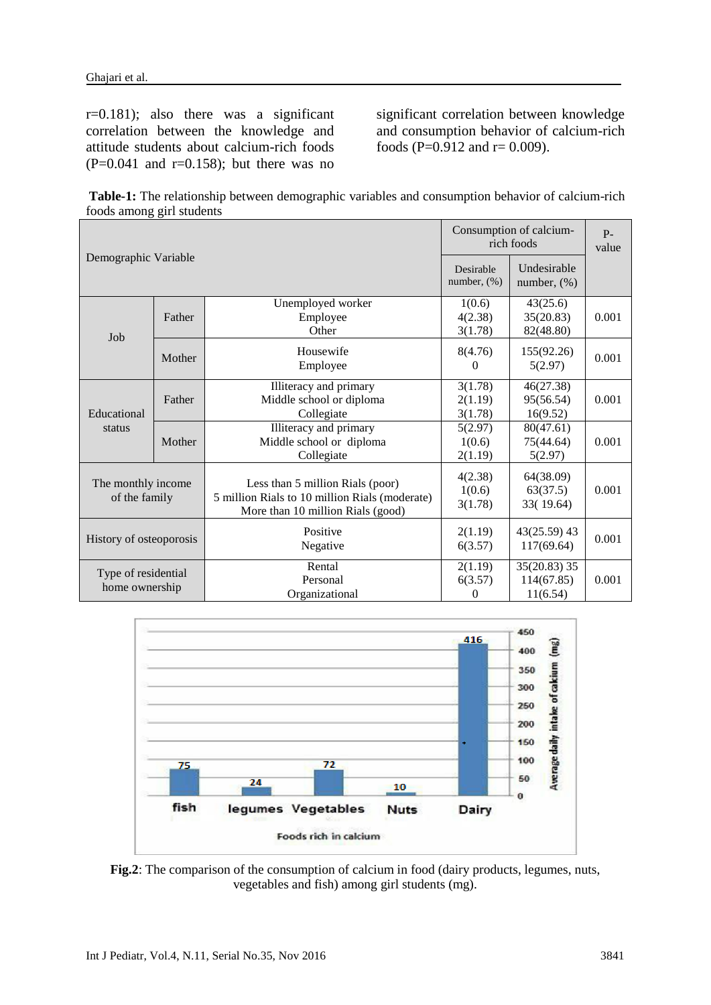r=0.181); also there was a significant correlation between the knowledge and attitude students about calcium-rich foods  $(P=0.041$  and  $r=0.158$ ; but there was no significant correlation between knowledge and consumption behavior of calcium-rich foods (P=0.912 and  $r = 0.009$ ).

**Table-1:** The relationship between demographic variables and consumption behavior of calcium-rich foods among girl students

|                                       |        | Consumption of calcium-<br>rich foods                                                                                   | $P-$<br>value                 |                                        |       |
|---------------------------------------|--------|-------------------------------------------------------------------------------------------------------------------------|-------------------------------|----------------------------------------|-------|
| Demographic Variable                  |        | Desirable<br>number, $(\%)$                                                                                             | Undesirable<br>number, $(\%)$ |                                        |       |
| Job                                   | Father | Unemployed worker<br>Employee<br>Other                                                                                  | 1(0.6)<br>4(2.38)<br>3(1.78)  | 43(25.6)<br>35(20.83)<br>82(48.80)     | 0.001 |
|                                       | Mother | Housewife<br>Employee                                                                                                   | 8(4.76)<br>0                  | 155(92.26)<br>5(2.97)                  | 0.001 |
| Educational<br>status                 | Father | Illiteracy and primary<br>Middle school or diploma<br>Collegiate                                                        | 3(1.78)<br>2(1.19)<br>3(1.78) | 46(27.38)<br>95(56.54)<br>16(9.52)     | 0.001 |
|                                       | Mother | Illiteracy and primary<br>Middle school or diploma<br>Collegiate                                                        | 5(2.97)<br>1(0.6)<br>2(1.19)  | 80(47.61)<br>75(44.64)<br>5(2.97)      | 0.001 |
| The monthly income<br>of the family   |        | Less than 5 million Rials (poor)<br>5 million Rials to 10 million Rials (moderate)<br>More than 10 million Rials (good) | 4(2.38)<br>1(0.6)<br>3(1.78)  | 64(38.09)<br>63(37.5)<br>33(19.64)     | 0.001 |
| History of osteoporosis               |        | Positive<br>Negative                                                                                                    | 2(1.19)<br>6(3.57)            | $43(25.59)$ 43<br>117(69.64)           | 0.001 |
| Type of residential<br>home ownership |        | Rental<br>Personal<br>Organizational                                                                                    | 2(1.19)<br>6(3.57)<br>0       | 35(20.83) 35<br>114(67.85)<br>11(6.54) | 0.001 |



**Fig.2**: The comparison of the consumption of calcium in food (dairy products, legumes, nuts, vegetables and fish) among girl students (mg).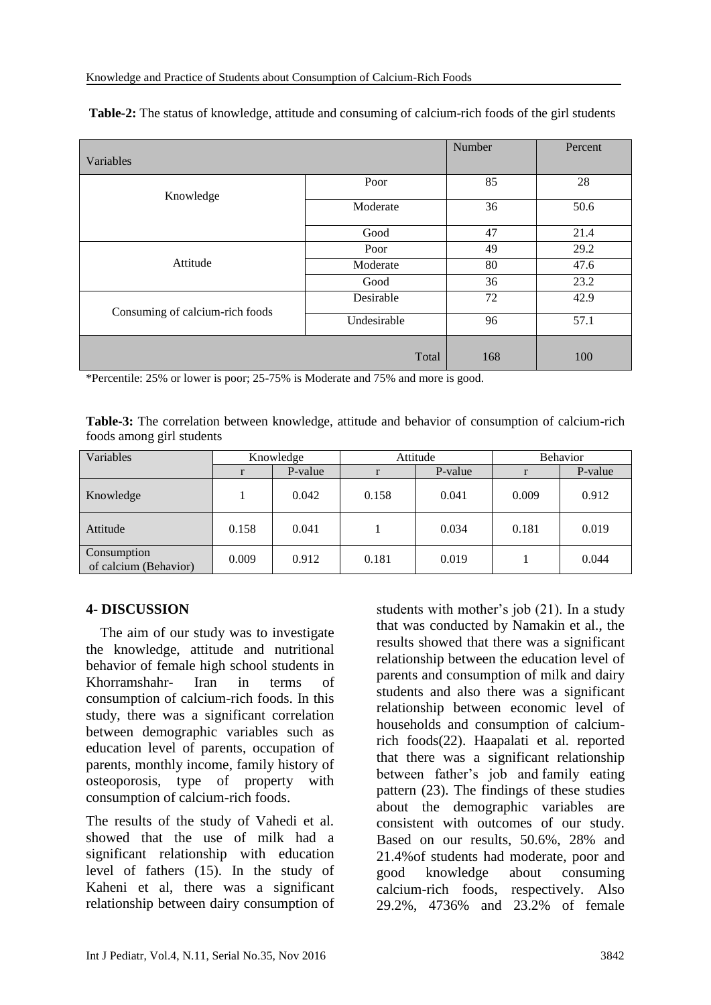| Variables                       | Number      | Percent |      |
|---------------------------------|-------------|---------|------|
| Knowledge                       | Poor        | 85      | 28   |
|                                 | Moderate    | 36      | 50.6 |
|                                 | Good        | 47      | 21.4 |
|                                 | Poor        | 49      | 29.2 |
| Attitude                        | Moderate    | 80      | 47.6 |
|                                 | Good        | 36      | 23.2 |
| Consuming of calcium-rich foods | Desirable   | 72      | 42.9 |
|                                 | Undesirable | 96      | 57.1 |
|                                 | Total       | 168     | 100  |

**Table-2:** The status of knowledge, attitude and consuming of calcium-rich foods of the girl students

\*Percentile: 25% or lower is poor; 25-75% is Moderate and 75% and more is good.

**Table-3:** The correlation between knowledge, attitude and behavior of consumption of calcium-rich foods among girl students

| Variables                            | Knowledge |         | Attitude |         | <b>Behavior</b> |         |
|--------------------------------------|-----------|---------|----------|---------|-----------------|---------|
|                                      |           | P-value |          | P-value |                 | P-value |
| Knowledge                            |           | 0.042   | 0.158    | 0.041   | 0.009           | 0.912   |
| Attitude                             | 0.158     | 0.041   |          | 0.034   | 0.181           | 0.019   |
| Consumption<br>of calcium (Behavior) | 0.009     | 0.912   | 0.181    | 0.019   |                 | 0.044   |

#### **4- DISCUSSION**

 The aim of our study was to investigate the knowledge, attitude and nutritional behavior of female high school students in Khorramshahr- Iran in terms of consumption of calcium-rich foods. In this study, there was a significant correlation between demographic variables such as education level of parents, occupation of parents, monthly income, family history of osteoporosis, type of property with consumption of calcium-rich foods.

The results of the study of Vahedi et al. showed that the use of milk had a significant relationship with education level of fathers (15). In the study of Kaheni et al, there was a significant relationship between dairy consumption of

students with mother's job (21). In a study that was conducted by Namakin et al., the results showed that there was a significant relationship between the education level of parents and consumption of milk and dairy students and also there was a significant relationship between economic level of households and consumption of calciumrich foods(22). Haapalati et al. reported that there was a significant relationship between father's job and family eating pattern (23). The findings of these studies about the demographic variables are consistent with outcomes of our study. Based on our results, 50.6%, 28% and 21.4%of students had moderate, poor and good knowledge about consuming calcium-rich foods, respectively. Also 29.2%, 4736% and 23.2% of female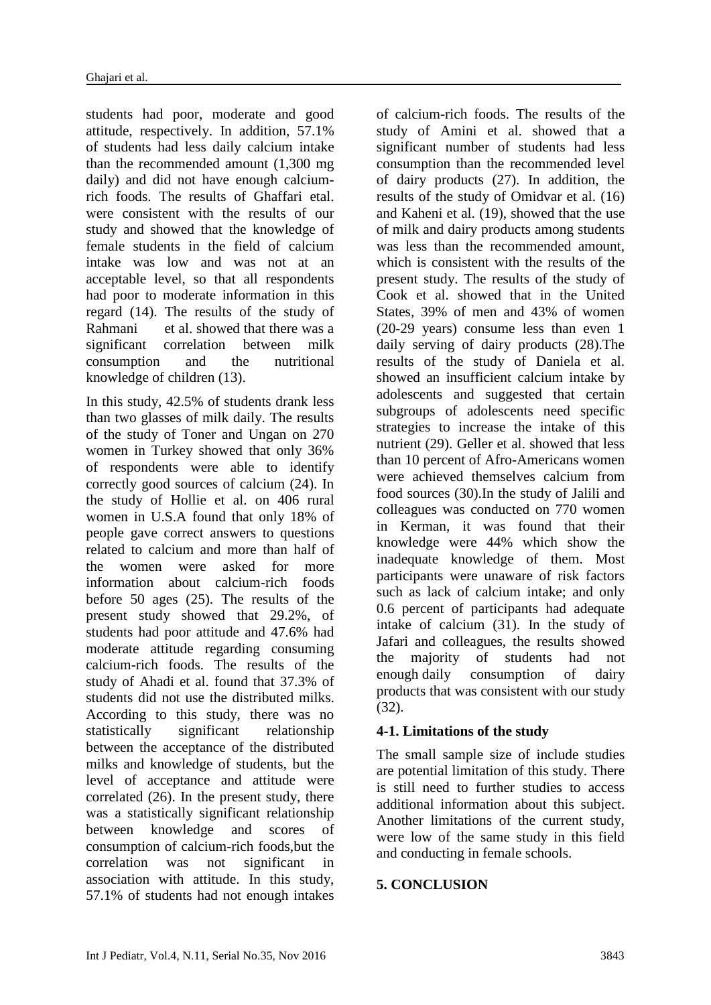students had poor, moderate and good attitude, respectively. In addition, 57.1% of students had less daily calcium intake than the recommended amount (1,300 mg daily) and did not have enough calciumrich foods. The results of Ghaffari etal. were consistent with the results of our study and showed that the knowledge of female students in the field of calcium intake was low and was not at an acceptable level, so that all respondents had poor to moderate information in this regard (14). The results of the study of Rahmani et al. showed that there was a significant correlation between milk consumption and the nutritional knowledge of children (13).

In this study, 42.5% of students drank less than two glasses of milk daily. The results of the study of Toner and Ungan on 270 women in Turkey showed that only 36% of respondents were able to identify correctly good sources of calcium (24). In the study of Hollie et al. on 406 rural women in U.S.A found that only 18% of people gave correct answers to questions related to calcium and more than half of the women were asked for more information about calcium-rich foods before 50 ages (25). The results of the present study showed that 29.2%, of students had poor attitude and 47.6% had moderate attitude regarding consuming calcium-rich foods. The results of the study of Ahadi et al. found that 37.3% of students did not use the distributed milks. According to this study, there was no statistically significant relationship between the acceptance of the distributed milks and knowledge of students, but the level of acceptance and attitude were correlated (26). In the present study, there was a statistically significant relationship between knowledge and scores of consumption of calcium-rich foods,but the correlation was not significant in association with attitude. In this study, 57.1% of students had not enough intakes of calcium-rich foods. The results of the study of Amini et al. showed that a significant number of students had less consumption than the recommended level of dairy products (27). In addition, the results of the study of Omidvar et al. (16) and Kaheni et al. (19), showed that the use of milk and dairy products among students was less than the recommended amount. which is consistent with the results of the present study. The results of the study of Cook et al. showed that in the United States, 39% of men and 43% of women (20-29 years) consume less than even 1 daily serving of dairy products (28).The results of the study of Daniela et al. showed an insufficient calcium intake by adolescents and suggested that certain subgroups of adolescents need specific strategies to increase the intake of this nutrient (29). Geller et al. showed that less than 10 percent of Afro-Americans women were achieved themselves calcium from food sources (30).In the study of Jalili and colleagues was conducted on 770 women in Kerman, it was found that their knowledge were 44% which show the inadequate knowledge of them. Most participants were unaware of risk factors such as lack of calcium intake; and only 0.6 percent of participants had adequate intake of calcium (31). In the study of Jafari and colleagues, the results showed the majority of students had not enough daily consumption of dairy products that was consistent with our study (32).

# **4-1. Limitations of the study**

The small sample size of include studies are potential limitation of this study. There is still need to further studies to access additional information about this subject. Another limitations of the current study, were low of the same study in this field and conducting in female schools.

#### **5. CONCLUSION**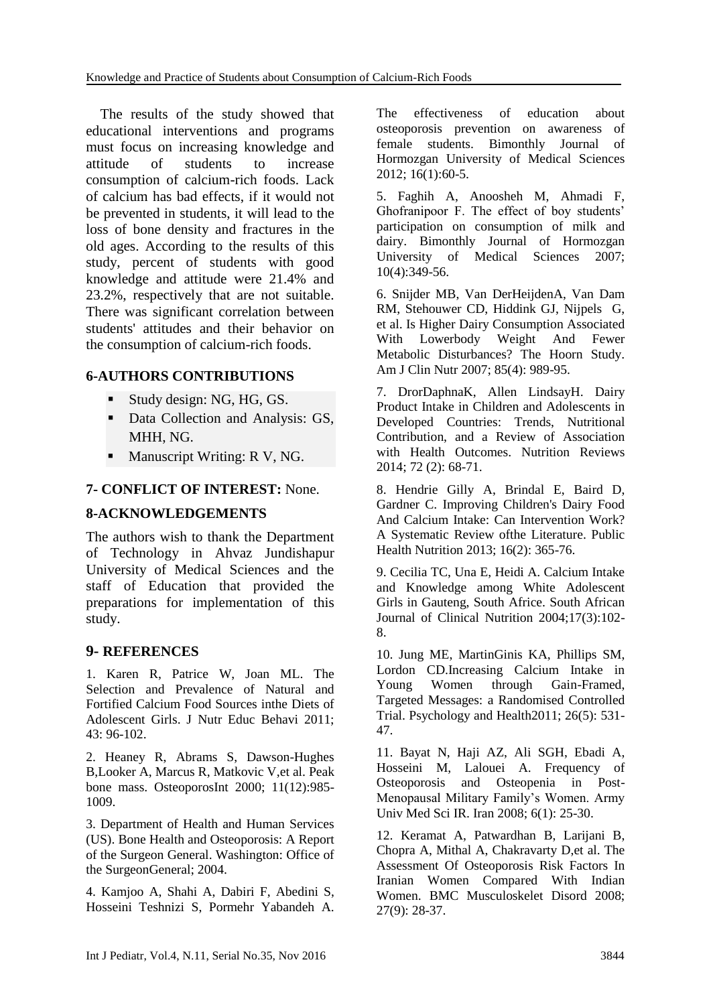The results of the study showed that educational interventions and programs must focus on increasing knowledge and attitude of students to increase consumption of calcium-rich foods. Lack of calcium has bad effects, if it would not be prevented in students, it will lead to the loss of bone density and fractures in the old ages. According to the results of this study, percent of students with good knowledge and attitude were 21.4% and 23.2%, respectively that are not suitable. There was significant correlation between students' attitudes and their behavior on the consumption of calcium-rich foods.

# **6-AUTHORS CONTRIBUTIONS**

- Study design: NG, HG, GS.
- Data Collection and Analysis: GS, MHH, NG.
- Manuscript Writing: R V, NG.

# **7- CONFLICT OF INTEREST:** None.

# **8-ACKNOWLEDGEMENTS**

The authors wish to thank the Department of Technology in Ahvaz Jundishapur University of Medical Sciences and the staff of Education that provided the preparations for implementation of this study.

#### **9- REFERENCES**

1. Karen R, Patrice W, Joan ML. The Selection and Prevalence of Natural and Fortified Calcium Food Sources inthe Diets of Adolescent Girls. J Nutr Educ Behavi 2011; 43: 96-102.

2. Heaney R, Abrams S, Dawson-Hughes B[,Looker A,](http://www.ncbi.nlm.nih.gov/pubmed/?term=Looker%20A%5BAuthor%5D&cauthor=true&cauthor_uid=11256898) [Marcus R,](http://www.ncbi.nlm.nih.gov/pubmed/?term=Marcus%20R%5BAuthor%5D&cauthor=true&cauthor_uid=11256898) [Matkovic V,](http://www.ncbi.nlm.nih.gov/pubmed/?term=Matkovic%20V%5BAuthor%5D&cauthor=true&cauthor_uid=11256898)et al. Peak bone mass. OsteoporosInt 2000; 11(12):985- 1009.

3. Department of Health and Human Services (US). Bone Health and Osteoporosis: A Report of the Surgeon General. Washington: Office of the SurgeonGeneral; 2004.

4. Kamjoo A, Shahi A, Dabiri F, Abedini S, Hosseini Teshnizi S, Pormehr Yabandeh A. The effectiveness of education about osteoporosis prevention on awareness of female students. Bimonthly Journal of Hormozgan University of Medical Sciences 2012; 16(1):60-5.

5. Faghih A, Anoosheh M, Ahmadi F, Ghofranipoor F. The effect of boy students' participation on consumption of milk and dairy. Bimonthly Journal of Hormozgan University of Medical Sciences 2007; 10(4):349-56.

6. Snijder MB, Van DerHeijdenA, Van Dam RM, Stehouwer CD, Hiddink GJ, Nijpels G, et al. Is Higher Dairy Consumption Associated With Lowerbody Weight And Fewer Metabolic Disturbances? The Hoorn Study. Am J Clin Nutr 2007; 85(4): 989-95.

7. DrorDaphnaK, Allen LindsayH. Dairy Product Intake in Children and Adolescents in Developed Countries: Trends, Nutritional Contribution, and a Review of Association with Health Outcomes. Nutrition Reviews 2014; 72 (2): 68-71.

8. Hendrie Gilly A, Brindal E, Baird D, Gardner C. Improving Children's Dairy Food And Calcium Intake: Can Intervention Work? A Systematic Review ofthe Literature. Public Health Nutrition 2013; 16(2): 365-76.

9. Cecilia TC, Una E, Heidi A. Calcium Intake and Knowledge among White Adolescent Girls in Gauteng, South Africe. South African Journal of Clinical Nutrition 2004;17(3):102- 8.

10. Jung ME, MartinGinis KA, Phillips SM, Lordon CD.Increasing Calcium Intake in Young Women through Gain-Framed, Targeted Messages: a Randomised Controlled Trial. Psychology and Health2011; 26(5): 531- 47.

11. Bayat N, Haji AZ, Ali SGH, Ebadi A, Hosseini M, Lalouei A. Frequency of Osteoporosis and Osteopenia in Post-Menopausal Military Family's Women. Army Univ Med Sci IR. Iran 2008; 6(1): 25-30.

12. Keramat A, Patwardhan B, Larijani B, Chopra A, Mithal A, Chakravarty D,et al. The Assessment Of Osteoporosis Risk Factors In Iranian Women Compared With Indian Women. BMC Musculoskelet Disord 2008; 27(9): 28-37.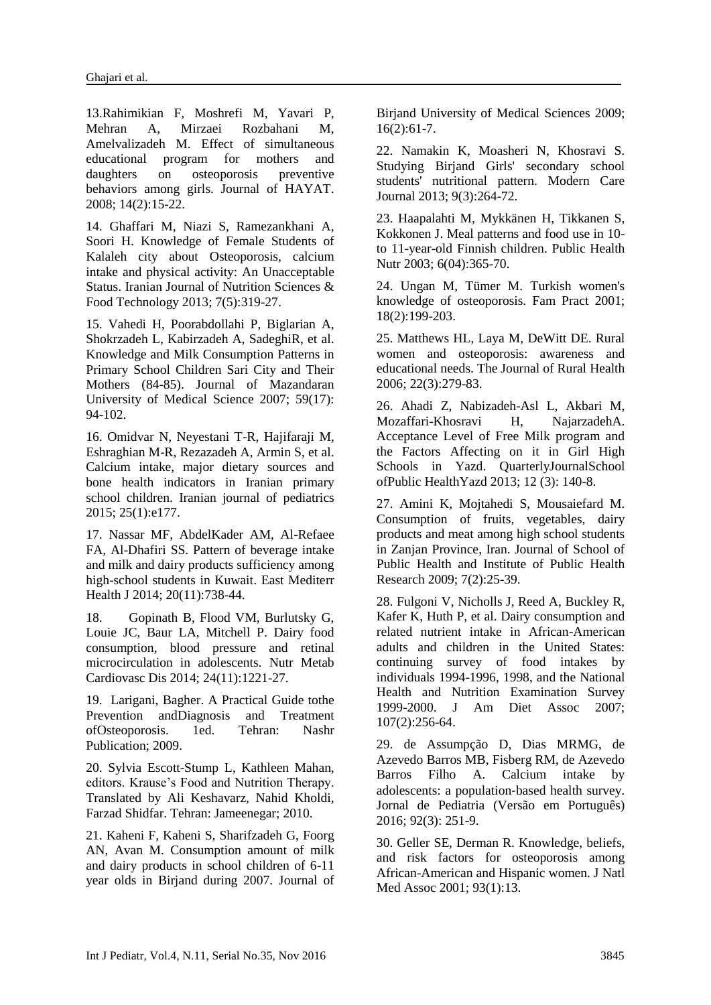13.Rahimikian F, Moshrefi M, Yavari P, Mehran A, Mirzaei Rozbahani M, Amelvalizadeh M. Effect of simultaneous educational program for mothers and daughters on osteoporosis preventive behaviors among girls. Journal of HAYAT. 2008; 14(2):15-22.

14. Ghaffari M, Niazi S, Ramezankhani A, Soori H. Knowledge of Female Students of Kalaleh city about Osteoporosis, calcium intake and physical activity: An Unacceptable Status. Iranian Journal of Nutrition Sciences & Food Technology 2013; 7(5):319-27.

15. Vahedi H, Poorabdollahi P, Biglarian A, Shokrzadeh L, Kabirzadeh A, SadeghiR, et al. Knowledge and Milk Consumption Patterns in Primary School Children Sari City and Their Mothers (84-85). Journal of Mazandaran University of Medical Science 2007; 59(17): 94-102.

16. Omidvar N, Neyestani T-R, Hajifaraji M, Eshraghian M-R, Rezazadeh A, Armin S, et al. Calcium intake, major dietary sources and bone health indicators in Iranian primary school children. Iranian journal of pediatrics 2015; 25(1):e177.

17. Nassar MF, AbdelKader AM, Al-Refaee FA, Al-Dhafiri SS. Pattern of beverage intake and milk and dairy products sufficiency among high-school students in Kuwait. East Mediterr Health J 2014; 20(11):738-44.

18. Gopinath B, Flood VM, Burlutsky G, Louie JC, Baur LA, Mitchell P. Dairy food consumption, blood pressure and retinal microcirculation in adolescents. Nutr Metab Cardiovasc Dis 2014; 24(11):1221-27.

19. Larigani, Bagher. A Practical Guide tothe Prevention andDiagnosis and Treatment ofOsteoporosis. 1ed. Tehran: Nashr Publication; 2009.

20. Sylvia Escott-Stump L, Kathleen Mahan, editors. Krause's Food and Nutrition Therapy. Translated by Ali Keshavarz, Nahid Kholdi, Farzad Shidfar. Tehran: Jameenegar; 2010.

21. Kaheni F, Kaheni S, Sharifzadeh G, Foorg AN, Avan M. Consumption amount of milk and dairy products in school children of 6-11 year olds in Birjand during 2007. Journal of Birjand University of Medical Sciences 2009; 16(2):61-7.

22. Namakin K, Moasheri N, Khosravi S. Studying Birjand Girls' secondary school students' nutritional pattern. Modern Care Journal 2013; 9(3):264-72.

23. Haapalahti M, Mykkänen H, Tikkanen S, Kokkonen J. Meal patterns and food use in 10 to 11-year-old Finnish children. Public Health Nutr 2003; 6(04):365-70.

24. Ungan M, Tümer M. Turkish women's knowledge of osteoporosis. Fam Pract 2001; 18(2):199-203.

25. Matthews HL, Laya M, DeWitt DE. Rural women and osteoporosis: awareness and educational needs. The Journal of Rural Health 2006; 22(3):279-83.

26. Ahadi Z, Nabizadeh-Asl L, Akbari M, Mozaffari-Khosravi H, NajarzadehA. Acceptance Level of Free Milk program and the Factors Affecting on it in Girl High Schools in Yazd. QuarterlyJournalSchool ofPublic HealthYazd 2013; 12 (3): 140-8.

27. Amini K, Mojtahedi S, Mousaiefard M. Consumption of fruits, vegetables, dairy products and meat among high school students in Zanjan Province, Iran. Journal of School of Public Health and Institute of Public Health Research 2009; 7(2):25-39.

28. Fulgoni V, Nicholls J, Reed A, Buckley R, Kafer K, Huth P, et al. Dairy consumption and related nutrient intake in African-American adults and children in the United States: continuing survey of food intakes by individuals 1994-1996, 1998, and the National Health and Nutrition Examination Survey 1999-2000. J Am Diet Assoc 2007; 107(2):256-64.

29. de Assumpção D, Dias MRMG, de Azevedo Barros MB, Fisberg RM, de Azevedo Barros Filho A. Calcium intake by adolescents: a population‐based health survey. Jornal de Pediatria (Versão em Português) 2016; 92(3): 251-9.

30. Geller SE, Derman R. Knowledge, beliefs, and risk factors for osteoporosis among African-American and Hispanic women. J Natl Med Assoc 2001; 93(1):13.